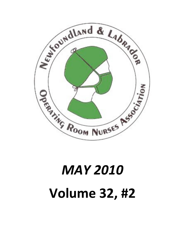

# **MAY 2010 Volume 32, #2**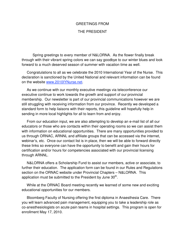# GREETINGS FROM

# THE PRESIDENT

 Spring greetings to every member of N&LORNA. As the flower finally break through with their vibrant spring colors we can say goodbye to our winter blues and look forward to a much deserved season of summer with vacation time as well.

 Congratulations to all as we celebrate the 2010 International Year of the Nurse. This declaration is sanctioned by the United National and relevant information can be found on the website www.2010IYNurse.net.

 As we continue with our monthly executive meetings via teleconference our executive continue to work towards the growth and support of our provincial membership. Our newsletter is part of our provincial communications however we are still struggling with receiving information from our province. Recently we developed a standard form to help liaisons with their reports, this guideline will hopefully help in sending in more local highlights for all to learn from and enjoy.

 From our education input, we are also attempting to develop an e-mail list of all our educators or those who are contacts within their operating rooms so we can assist them with information on educational opportunities. There are many opportunities provided to us through ORNAC, ARNNL and affiliate groups that can be accessed via the internet, webinar's, etc. Once our contact list is in place, then we will be able to forward directly these links so everyone can have the opportunity to benefit and gain their hours for certification and/or hours for competencies associated with our provincial licensing through ARNNL.

 N&LORNA offers a Scholarship Fund to assist our members, active or associate, to further their education. The application form can be found in our Rules and Regulations section on the ORNAC website under Provincial Chapters – N&LORNA. This application must be submitted to the President by June  $30<sup>th</sup>$ .

 While at the ORNAC Board meeting recently we learned of some new and exciting educational opportunities for our members.

 Bloomberg Faculty of Nursing offering the first diploma in Anaesthesia Care. There you will learn advanced pain management, equipping you to take a leadership role as co-anesthesiologists on acute pain teams in hospital settings. This program is open for enrollment May 17, 2010.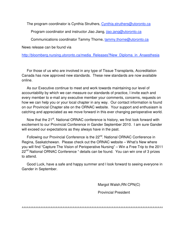The program coordinator is Cynthia Struthers, Cynthia.struthers@utoronto.ca

Program coordinator and instructor Jiao Jiang, jiao.jang@utoronto.ca

Communications coordinator Tammy Thorne, tammy.thorne@utoronto.ca

News release can be found via

http://bloomberg.nursing.utoronto.ca/media\_Releases?New\_Diploma\_in\_Anaesthesia

 For those of us who are involved in any type of Tissue Transplants, Accreditation Canada has now approved new standards. These new standards are now available online.

 As our Executive continue to meet and work towards maintaining our level of accountability by which we can measure our standards of practice, I invite each and every member to e-mail any executive member your comments, concerns, requests on how we can help you or your local chapter in any way. Our contact information is found on our Provincial Chapter site on the ORNAC website. Your support and enthusiasm is catching and appreciated as we move forward in this ever changing perioperative world.

Now that the 21<sup>st</sup>. National ORNAC conference is history, we first look forward with excitement to our Provincial Conference in Gander September 2010. I am sure Gander will exceed our expectations as they always have in the past.

Following our Provincial Conference is the 22<sup>nd</sup>. National ORNAC Conference in Regina, Saskatchewan. Please check out the ORNAC website – What's New where you will find "Capture The Vision of Perioperative Nursing" – Win a Free Trip to the 2011 22<sup>nd</sup> National ORNAC Conference " details can be found. You can win one of 3 prizes to attend.

 Good Luck, have a safe and happy summer and I look forward to seeing everyone in Gander in September.

Margot Walsh,RN CPN(C)

Provincial President

^^^^^^^^^^^^^^^^^^^^^^^^^^^^^^^^^^^^^^^^^^^^^^^^^^^^^^^^^^^^^^^^^^^^^^^^^^^^^^^^^^^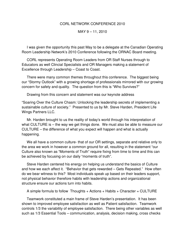## CORL NETWORK CONFERENCE 2010

## MAY 9 – 11, 2010

 I was given the opportunity this past May to be a delegate at the Canadian Operating Room Leadership Network's 2010 Conference following the ORNAC Board meeting.

 CORL represents Operating Room Leaders from OR Staff Nurses through to Educators as well Clincial Specialists and OR Managers making a statement of Excellence through Leadership – Coast to Coast.

 There were many common themes throughout this conference. The biggest being our "Stormy Outlook" with a growing shortage of professionals mirrored with our growing concern for safety and quality. The question from this is "Who Survives?"

Drawing from this concern and statement was our keynote address

"Soaring Over the Culture Chasm: Unlocking the leadership secrets of implementing a sustainable culture of society." Presented to us by Mr. Steve Harden, President Life Wings Partners LLC.

 Mr. Harden brought to us the reality of today's world through his interpretation of what CULTURE is – the way we get things done. We must also be able to measure our CULTURE – the difference of what you expect will happen and what is actually happening.

 We all have a common culture- that of our OR settings, separate and relative only to the area we work in however a common ground for all, resulting in the statement "our Culture also known as "Moments of Truth" require fixing from time to time and this can be achieved by focusing on our daily "moments of truth".

 Steve Harden centered his energy on helping us understand the basics of Culture and how we each affect it. "Behavior that gets rewarded – Gets Repeated." How often do we bear witness to this? Most individuals speak up based on their leaders support, not physical behavior therefore habits with leadership actions and organizational structure ensure our actions turn into habits.

A simple formula to follow Thoughts + Actions + Habits + Character = CULTURE

 Teamwork constituted a main frame of Steve Harden's presentation. It has been shown to improved employee satisfaction as well as Patient satisfaction. Teamwork controls 1/3 the variability of employee satisfaction. There being other variables as well such as 1/3 Essential Tools – communication, analysis, decision making, cross checks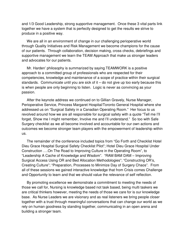and 1/3 Good Leadership, strong supportive management. Once these 3 vital parts link together we have a system that is perfectly designed to get the results we strive to produce in a positive way.

 We are all in an environment of change in our challenging perioperative world through Quality Initiatives and Risk Management we become champions for the cause of our patients. Through collaboration, decision making, cross checks, debriefings and supportive management we learn the TEAM Approach that make us stronger leaders and advocates for our patients.

 Mr. Harden' philosophy is summarized by saying TEAMWORK is a positive approach to a committed group of professionals who are respected for their competencies, knowledge and maintenance of a scope of practice within their surgical standards. Communicate until you are sick of it – do not give up too early because this is when people are only beginning to listen. Logic is never as convincing as your passion.

 After the keynote address we continued on to Gillian Gravely, Nurse Manager, Perioperative Service, Princess Margaret Hospital/Toronto General Hospital where she addressed us on "Surgical Safety in a Canadian Operating Room." Her focus to us revolved around how we are all responsible for surgical safety with a quote "Tell me I'll forget, Show me I might remember, Involve me and I'll understand." So too with Safe Surgery checklist as we all become involved and accountable for our own actions and outcomes we become stronger team players with the empowerment of leadership within us.

 The remainder of the conference included topics from "Go Forth and Checklist Hotel Dieu Grace Hospital Surgical Safety Checklist Pilot"; Hotel Dieu Grace Hospital Under Construction ….On The Road to Improving Culture in the Operating Room", to "Leadership A Cache of Knowledge and Wisdom". "RAM BAM DAM – Improving Surgical Access Using OR and Bed Allocation Methodologies"; "Constructing OR's, Creating Culture"; "Preparation, Processes to Minimize Day of Surgery Chaos". From all of these sessions we gained interactive knowledge that from Crisis comes Challenge and Opportunity to learn and that we should value the relevance of self reflection.

 By promoting excellence we demonstrate a commitment to meeting the needs of those we call for, Nursing is knowledge based not task based, being multi taskers we are critical thinkers however, meeting the needs of those we care for is our knowledge base. As Nurse Leaders we are visionary and as real listeners we bring people closer together with a trust through meaningful conversations that can change our world as we rely on human goodness by standing together, communicating in an open arena and building a stronger team.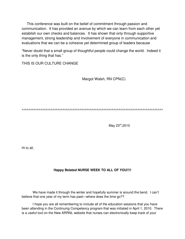This conference was built on the belief of commitment through passion and communication. It has provided an avenue by which we can learn from each other yet establish our own checks and balances. It has shown that only through supportive management, strong leadership and involvement of everyone in communication and evaluations that we can be a cohesive yet determined group of leaders because

"Never doubt that a small group of thoughtful people could change the world. Indeed it is the only thing that has."

THIS IS OUR CULTURE CHANGE

Margot Walsh, RN CPN(C)

^^^^^^^^^^^^^^^^^^^^^^^^^^^^^^^^^^^^^^^^^^^^^^^^^^^^^^^^^^^^^^^^^^^^^^^^^^^^^^^^^^^

May 23<sup>rd</sup>,2010

Hi to all,

# **Happy Belated NURSE WEEK TO ALL OF YOU!!!!**

 We have made it through the winter and hopefully summer is around the bend. I can't believe that one year of my term has past—where does the time go??

I hope you are all remembering to include all of the education sessions that you have been attending in the Continuing Competency program that was initiated in April 1, 2010. There is a useful tool on the New ARRNL website that nurses can electronically keep track of your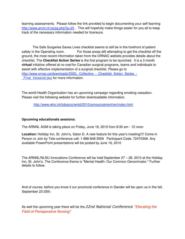learning assessments. Please follow the link provided to begin documenting your self learning http://www.arnnl.nf.ca/pg.php?p=25. This will hopefully make things easier for you all to keep track of the necessary information needed for licensure.

 The Safe Surgeries Saves Lives checklist seems to still be in the forefront of patient safety in the Operating room. For those areas still attempting to get the checklist off the ground, the most recent information taken from the ORNAC website provides details about the checklist. The **Checklist Action Series** is the first program to be launched. It is a 3 month **virtual** initiative offered at no cost for Canadian surgical programs, teams and individuals to assist with effective implementation of a surgical checklist. Please go to http://www.ornac.ca/downloads/SSSL\_Collective - Checklist\_Action\_Series\_-Final Version2.doc for more information.

The world Health Organization has an upcoming campaign regarding smoking cessation. Please visit the following website for further downloadable information.

http://www.who.int/tobacco/wntd/2010/announcement/en/index.html

## **Upcoming educationals sessions:**

The ARNNL AGM is taking place on Friday, June 18, 2010 from 8:30 am - 12 noon

**Location:** Holiday Inn, St. John's, Salon D. A new feature for this year's meeting!!!! Come in Person or Join by Tele-conference call: 1-888-848 5559 Participant Code: 7247030#. Any available PowerPoint presentations will be posted by June 16, 2010

The ARNNL/NLNU Innovations Conference will be held September 27 – 28, 2010 at the Holiday Inn, St. John's. The Conference theme is "Mental Health: Our Common Denominator." Further details to follow.

And of course, before you know it our provincial conference in Gander will be upon us in the fall, September 23-25th.

As well the upcoming year there will be the 22nd National Conference "Elevating the Field of Perioperative Nursing"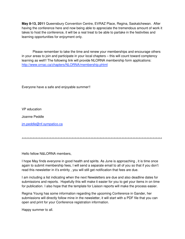**May 8-13, 2011** Queensbury Convention Centre, EVRAZ Place, Regina, Saskatchewan. After having the conference here and now being able to appreciate the tremendous amount of work it takes to host the conference, it will be a real treat to be able to partake in the festivities and learning opportunities for enjoyment only.

 Please remember to take the time and renew your memberships and encourage others in your areas to join and participate in your local chapters – this will count toward comptency learning as well!! The following link will provide NLORNA membership form applications: http://www.ornac.ca/chapters/NLORNA/membership.phtml

Everyone have a safe and enjoyable summer!!

VP education

Joanne Peddle

jm.peddle@nf.sympatico.ca

^^^^^^^^^^^^^^^^^^^^^^^^^^^^^^^^^^^^^^^^^^^^^^^^^^^^^^^^^^^^^^^^^^^^^^^^^^^^^^^^^^^^^^^^^^

Hello fellow N&LORNA members,

I hope May finds everyone in good health and spirits. As June is approaching , it is time once again to submit membership fees, I will send a separate email to all of you so that if you don't read this newsletter in it's entirity , you will still get notification that fees are due.

I am including a list indicating when the next Newsletters are due and also deadline dates for submissions and reports. Hopefully this will make it easier for you to get your items in on time for publication. I also hope that the template for Liaison reports will make the process easier.

Regina Young has some information regarding the upcoming Conference in Gander, her submissions will directly follow mine in the newsletter, it will start with a PDF file that you can open and print for your Conference registration information.

Happy summer to all.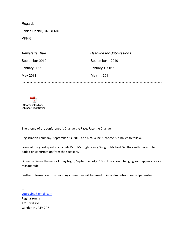Regards,

Janice Roche, RN CPN©

VPPR

| <b>Newsletter Due</b> | <b>Deadline for Submissions</b> |
|-----------------------|---------------------------------|
| September 2010        | September 1,2010                |
| January 2011          | January 1, 2011                 |
| May 2011              | May 1, 2011                     |
|                       |                                 |



 $\ddot{\phantom{0}}$ 

The theme of the conference is Change the Face, Face the Change

Registration Thursday, September 23, 2010 at 7 p.m. Wine & cheese & nibblies to follow.

Some of the guest speakers include Patti McHugh, Nancy Wright, Michael Gaultois with more to be added on confirmation from the speakers,

Dinner & Dance theme for Friday Night, September 24,2010 will be about changing your appearance i.e. masquerade.

Further Information from planning committee will be faxed to individual sites in early Spetember.

 $\overline{\phantom{0}}$ youregina@gmail.com Regina Young 131 Byrd Ave Gander, NL A1V 2A7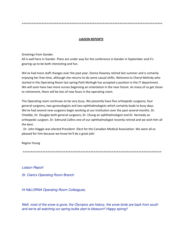#### **LIAISON REPORTS**

Greetings from Gander.

All is well here in Gander. Plans are under way for the conference in Gander in September and it's gearing up to be both interesting and fun.

We've had more staff changes over the past year. Donna Downey retired last summer and is certainly enjoying her free time, although she returns to do some casual shifts. Welcome to Cheryl Melindy who started in the Operating Room last spring. Patti McHugh has accepted a position in the IT department. We will soon have two more nurses beginning an orientation in the near future. As many of us get closer to retirement, there will be lots of new faces in the operating room.

The Operating room continues to be very busy. We presently have five orthopedic surgeons, four general surgeons, two gynecologists and two ophthalmologists which certainly leads to busy days. We've had several new surgeons begin working at our institution over the past several months. Dr. Cheddie, Dr. Douglas both general surgeons, Dr. Chung an ophthalmologist and Dr. Kennedy an orthopedic surgeon. Dr. Edmund Collins one of our ophthalmologist recently retired and we wish him all the best.

. Dr. John Haggie was elected President -Elect for the Canadian Medical Association. We were all so pleased for him because we know he'll do a great job!

Regina Young

Liaison Report

St. Clare's Operating Room Branch

Hi N&LORNA Operating Room Colleagues,

Well, most of the snow is gone, the Olympics are history, the snow birds are back from south and we're all watching our spring bulbs start to blossum!! Happy spring!!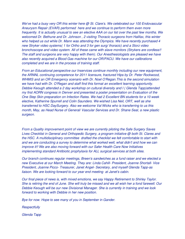We've had a busy very OR this winter here @ St. Clare's. We celebrated our 100 Endovascular Aneurysm Repair (EVAR) performed here and we continue to perform them even more frequently. It is actually unusual to see an elective AAA on our list over the past few months. We welcomed Dr. Bethune and Dr. Johnson , 2 visiting Thoracic surgeons from Halifax, this winter who helped us out while Dr. Mann was attending the Olympics. We have recently purchased 4 new Stryker video systems( 1 for Ortho and 3 for gen surg/ thoracic) and a Storz video bronchoscope and video system. All of these came with slave monitors (Strykers are cordless!! The staff and surgeons are very happy with them). Our Anesthesiologists are pleased we have also recently acquired a Blood Gas machine for our OR/PACU. We have our calibrations completed and we are in the process of training staff.

From an Educational perspective our Inservices continue monthly including our new equipment, the ARNNL continuing competence for 2011 licensure, fractured Hips by Dr. Peter Rockwood, WHMIS and an OR Emergency scenario with Dr. Noel O'Regan.This is the second simulation we have had with Dr. O'Regan and staff find this format an excellent learning opportunity. Debbie Keough attended a 2 day workshop on cultural diversity and I ( Glenda Tapp)attended my first AORN congress in Denver and presented a poster presentation on Evaluation of the One Step Skin preparation on Infection Rates. We had 2 Excellent BN students for a 10 week elective, Katherine Spurrell and Colin Saunders. We wished Lisa Neil, ORT, well as she transferred to HSC DaySurgery. Also we welcome Val Wicks who is transferring to us this month, May, as Head Nurse of General/ Vascular Services and Dr. Shane Seal, a new plastic surgeon.

From a Quality improvement point of view we are currently piloting the Safe Surgery Saves Lives Checklist in General and Orthopedic Surgery, a program initiative @ both St. Clares and the HSC. A multidisciplinary committee drafted the checklist we felt comfortable to start with and we are conducting a survey to determine what worked well, what didn't and how we can improve it!! We are also moving forward with our Safer Health Care Now Initiatives implementing standard Antibiotic prophylaxis for ALL surgical services at both sites.

Our branch continues regular meetings, Breen's sandwiches as a fund raiser and we elected a new Executive at our March Meeting. They are: Linda Cahill- President, Joanne Shortall- Vice President, Joanne Picco- Treasurer, Janet Angel- Secretary, and myself Glenda Tapp-as liaison. We are looking forward to our year end meeting at Janet's cabin.

Our final piece of news is, with mixed emotions, we say Happy Retirement to Shirley Taylor. She is retiring the end of June. She will truly be missed and we all wish her a fond farewell. Our Debbie Keough will be our new Divisional Manager. She is currently in training and we look forward to working with Debbie in her new position.

Bye for now. Hope to see many of you in September in Gander.

**Respectfully** 

Glenda Tapp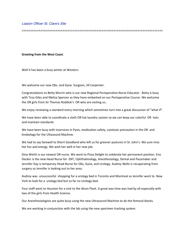### Liasion Officer St. Clare's Site

#### Greeting from the West Coast.

Well it has been a busy winter at Western.

We welcome our new Obs. and Gyne. Surgeon, Jill Carpenter.

Congratulations to Betty Murrin who is our new Regional Perioperative Nurse Educator. Betty is busy with Troy Giles and Melisa Spencer as they have embarked on our Perioperative Course. We welcome the OR girls from Sir Thomas Roddick's OR who are visiting us..

We enjoy reviewing a standard every morning which sometimes turn into a great discussion of "what if".

We have been able to coordinate a cloth OR hat laundry system so we can keep our colorful OR hats and maintain standards.

We have been busy with inservices in Pyxis, medication safety, cytotoxic precaution in the OR and knobology for the Ultasound Machine.

We had to say farewell to Sherri Goodland who left us for greener pastures in St. John's. We sure miss her fun and energy. We wish her well in her new job.

Gina Welsh is our newest OR nurse. We went to Pizza Delight to celebrate her permanent position. Ena Decker is the new Head Nurse for ENT, Ophthalmology, Anesthesiology, Dental and Pacemaker and Jennifer Day is temporary Head Nurse for Obs, Gyne, and Urology. Audrey Wells is recuperating from surgery so Jennifer is looking out to her area.

Audrey was unsuccessful shopping for a urology bed in Toronto and Montreal so Jennifer went to New York to look for a urology bed but so far no Urology bed.

Four staff went to Houston for a visit to the Alcon Plant. A great was time was had by all especially with two of the girls from Health Science.

Our Anesthesiologists are quite busy using the new Ultrasound Machine to do the femoral blocks.

We are working in conjunction with the lab using the new specimen tracking system.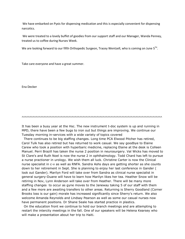We have embarked on Pyxis for dispensing medication and this is especially convenient for dispensing narcotics.

We were treated to a lovely buffet of goodies from our support staff and our Manager, Wanda Penney, treated us to coffee during Nurses Week.

We are looking forward to our fifth Orthopedic Surgeon, Tracey Wentzell, who is coming on June  $5^{T_H}$ .

Take care everyone and have a great summer.

Ena Decker

It has been a busy year at the Hsc. The new instrument t-doc system is up and running in MPD, there have been a few bugs to iron out but things are improving. We continue our Tuesday morning in-services with a wide variety of topics covered

There continues to be big staffing changes. Long time PCA Elwood Pitcher has retired, Carol Tulk has also retired but has returned to work casual. We say goodbye to Elaine Carew who took a position with hyperbaric medicine, replacing Elaine at the desk is Colleen Manuel. Perri Brazill has taken the nurse 2 position in neurosurgery. Val Wicks has moved to St Clare's and Ruth Noel is now the nurse 2 in ophthalmology. Todd Chard has left to pursue a nurse practioner in urology. We wish them all luck. Christine Carter is now the Clinical nurse specialist in c-v as well as RNFA. Sandra Ashs days are getting shorter as she counts down to her retirement in Sept. She is planning to enjoy her last conference in Gander ( look out Gander). Marilyn Ford will take over from Sandra as clinical nurse specialist in general surgery-Duane will have to learn how Marilyn likes her tea. Heather Snow will be retiring in Nov, Lynn Anderson will take over from Heather. There will be many more staffing changes to occur as gyne moves to the Janeway taking 5 of our staff with them and a few more are awaiting transfers to other areas. Returning is Sherry Goodland (Corner Brooks loss is our gain) morale has increased significantly since Sherry's return. We also welcome Amanda Reynolds and Lindsay Pearson as well as some our casual nurses now have permanent positions. Dr Shane Seale has started practice in plastics.

On the education front we continue to hold our branch meetings and are attempting to restart the intercity meetings in the fall. One of our speakers will be Helena Kearsey who will make a presentation about her trip to Haiti.